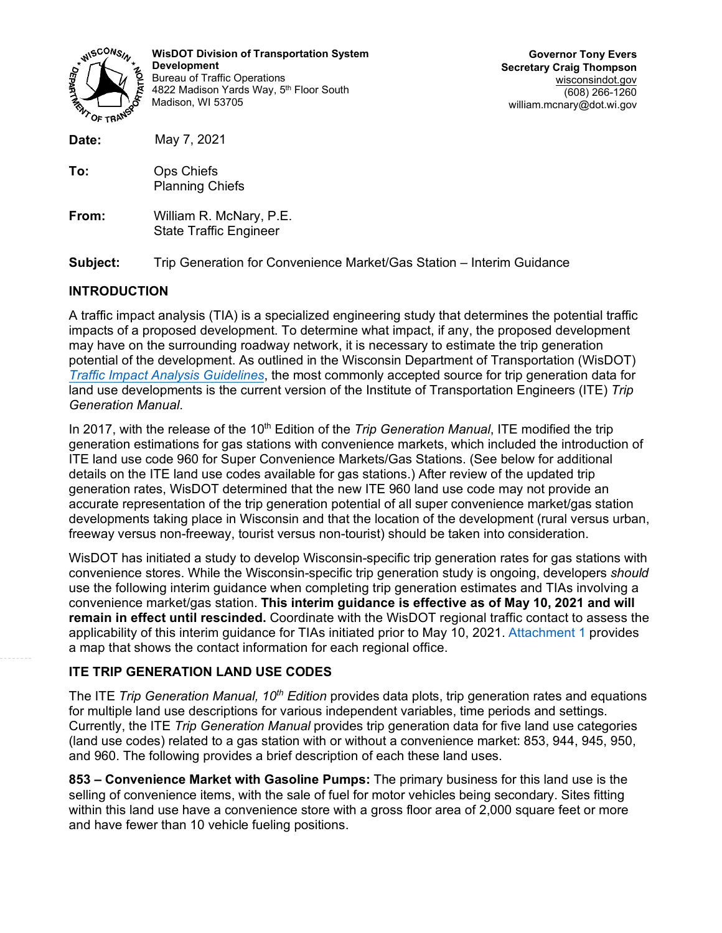

**WisDOT Division of Transportation System Development** Bureau of Traffic Operations 4822 Madison Yards Way, 5th Floor South Madison, WI 53705

**Governor Tony Evers Secretary Craig Thompson** wisconsindot.gov (608) 266-1260 william.mcnary@dot.wi.gov

| Date:    | May 7, 2021                                                           |
|----------|-----------------------------------------------------------------------|
| To:      | Ops Chiefs<br><b>Planning Chiefs</b>                                  |
| From:    | William R. McNary, P.E.<br><b>State Traffic Engineer</b>              |
| Subject: | Trip Generation for Convenience Market/Gas Station - Interim Guidance |

# **INTRODUCTION**

A traffic impact analysis (TIA) is a specialized engineering study that determines the potential traffic impacts of a proposed development. To determine what impact, if any, the proposed development may have on the surrounding roadway network, it is necessary to estimate the trip generation potential of the development. As outlined in the Wisconsin Department of Transportation (WisDOT) *[Traffic Impact Analysis Guidelines](https://wisconsindot.gov/dtsdManuals/traffic-ops/manuals-and-standards/tiaguide.pdf)*, the most commonly accepted source for trip generation data for land use developments is the current version of the Institute of Transportation Engineers (ITE) *Trip Generation Manual*.

In 2017, with the release of the 10<sup>th</sup> Edition of the *Trip Generation Manual*, ITE modified the trip generation estimations for gas stations with convenience markets, which included the introduction of ITE land use code 960 for Super Convenience Markets/Gas Stations. (See below for additional details on the ITE land use codes available for gas stations.) After review of the updated trip generation rates, WisDOT determined that the new ITE 960 land use code may not provide an accurate representation of the trip generation potential of all super convenience market/gas station developments taking place in Wisconsin and that the location of the development (rural versus urban, freeway versus non-freeway, tourist versus non-tourist) should be taken into consideration.

WisDOT has initiated a study to develop Wisconsin-specific trip generation rates for gas stations with convenience stores. While the Wisconsin-specific trip generation study is ongoing, developers *should* use the following interim guidance when completing trip generation estimates and TIAs involving a convenience market/gas station. **This interim guidance is effective as of May 10, 2021 and will remain in effect until rescinded.** Coordinate with the WisDOT regional traffic contact to assess the applicability of this interim guidance for TIAs initiated prior to May 10, 2021. [Attachment 1](#page-4-0) provides a map that shows the contact information for each regional office.

# **ITE TRIP GENERATION LAND USE CODES**

The ITE *Trip Generation Manual, 10th Edition* provides data plots, trip generation rates and equations for multiple land use descriptions for various independent variables, time periods and settings. Currently, the ITE *Trip Generation Manual* provides trip generation data for five land use categories (land use codes) related to a gas station with or without a convenience market: 853, 944, 945, 950, and 960. The following provides a brief description of each these land uses.

**853 – Convenience Market with Gasoline Pumps:** The primary business for this land use is the selling of convenience items, with the sale of fuel for motor vehicles being secondary. Sites fitting within this land use have a convenience store with a gross floor area of 2,000 square feet or more and have fewer than 10 vehicle fueling positions.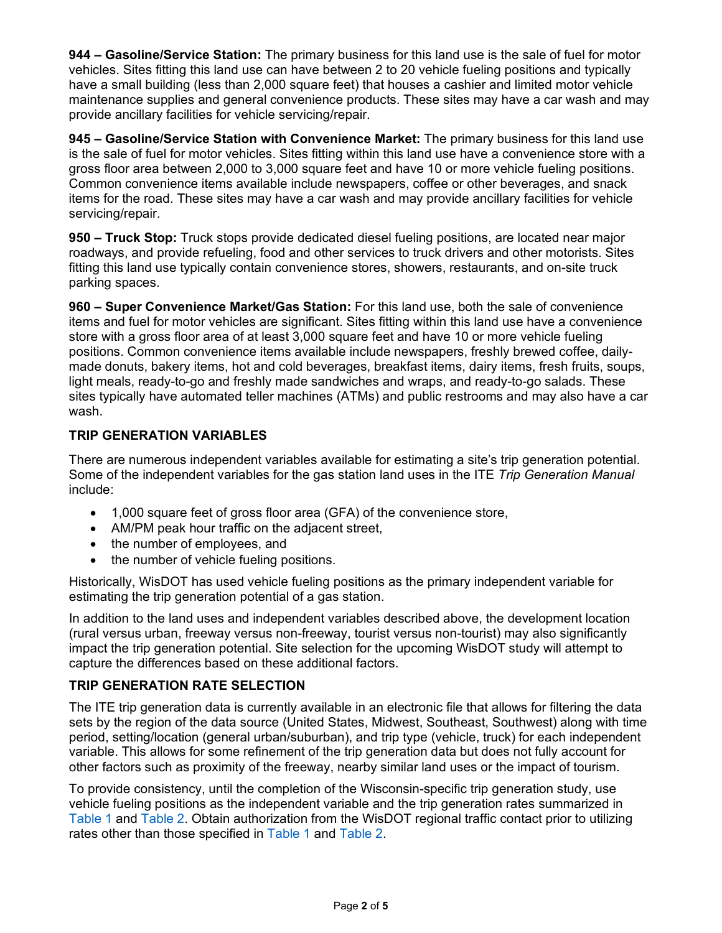**944 – Gasoline/Service Station:** The primary business for this land use is the sale of fuel for motor vehicles. Sites fitting this land use can have between 2 to 20 vehicle fueling positions and typically have a small building (less than 2,000 square feet) that houses a cashier and limited motor vehicle maintenance supplies and general convenience products. These sites may have a car wash and may provide ancillary facilities for vehicle servicing/repair.

**945 – Gasoline/Service Station with Convenience Market:** The primary business for this land use is the sale of fuel for motor vehicles. Sites fitting within this land use have a convenience store with a gross floor area between 2,000 to 3,000 square feet and have 10 or more vehicle fueling positions. Common convenience items available include newspapers, coffee or other beverages, and snack items for the road. These sites may have a car wash and may provide ancillary facilities for vehicle servicing/repair.

**950 – Truck Stop:** Truck stops provide dedicated diesel fueling positions, are located near major roadways, and provide refueling, food and other services to truck drivers and other motorists. Sites fitting this land use typically contain convenience stores, showers, restaurants, and on-site truck parking spaces.

**960 – Super Convenience Market/Gas Station:** For this land use, both the sale of convenience items and fuel for motor vehicles are significant. Sites fitting within this land use have a convenience store with a gross floor area of at least 3,000 square feet and have 10 or more vehicle fueling positions. Common convenience items available include newspapers, freshly brewed coffee, dailymade donuts, bakery items, hot and cold beverages, breakfast items, dairy items, fresh fruits, soups, light meals, ready-to-go and freshly made sandwiches and wraps, and ready-to-go salads. These sites typically have automated teller machines (ATMs) and public restrooms and may also have a car wash.

#### **TRIP GENERATION VARIABLES**

There are numerous independent variables available for estimating a site's trip generation potential. Some of the independent variables for the gas station land uses in the ITE *Trip Generation Manual* include:

- 1,000 square feet of gross floor area (GFA) of the convenience store,
- AM/PM peak hour traffic on the adjacent street,
- the number of employees, and
- the number of vehicle fueling positions.

Historically, WisDOT has used vehicle fueling positions as the primary independent variable for estimating the trip generation potential of a gas station.

In addition to the land uses and independent variables described above, the development location (rural versus urban, freeway versus non-freeway, tourist versus non-tourist) may also significantly impact the trip generation potential. Site selection for the upcoming WisDOT study will attempt to capture the differences based on these additional factors.

# **TRIP GENERATION RATE SELECTION**

The ITE trip generation data is currently available in an electronic file that allows for filtering the data sets by the region of the data source (United States, Midwest, Southeast, Southwest) along with time period, setting/location (general urban/suburban), and trip type (vehicle, truck) for each independent variable. This allows for some refinement of the trip generation data but does not fully account for other factors such as proximity of the freeway, nearby similar land uses or the impact of tourism.

To provide consistency, until the completion of the Wisconsin-specific trip generation study, use vehicle fueling positions as the independent variable and the trip generation rates summarized in [Table 1](#page-3-0) and [Table 2.](#page-3-1) Obtain authorization from the WisDOT regional traffic contact prior to utilizing rates other than those specified in [Table 1](#page-3-0) an[d Table 2.](#page-3-1)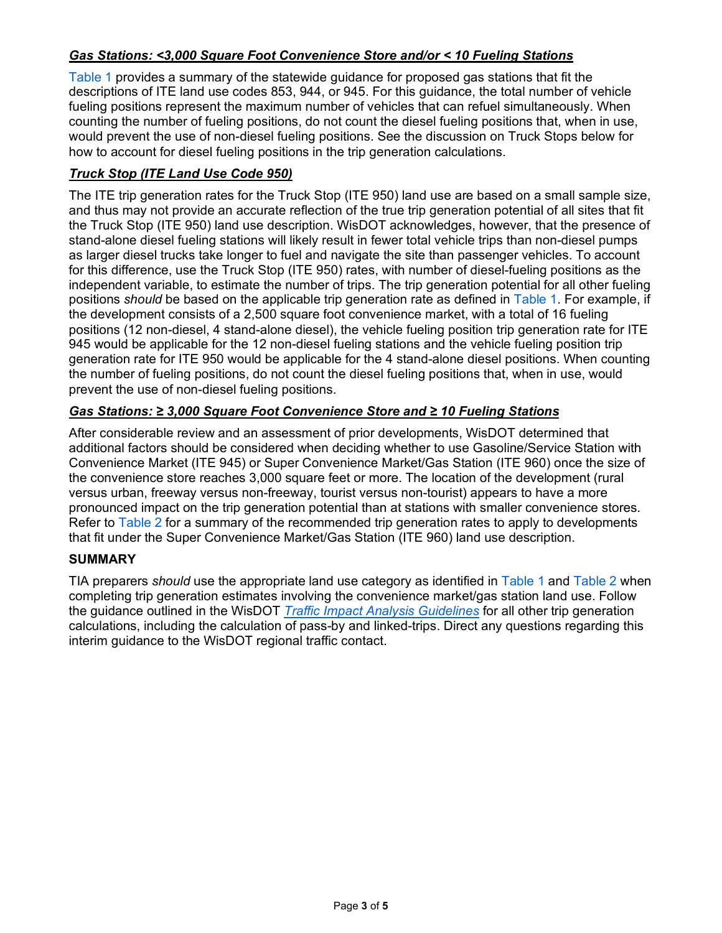# *Gas Stations: <3,000 Square Foot Convenience Store and/or < 10 Fueling Stations*

[Table 1](#page-3-0) provides a summary of the statewide guidance for proposed gas stations that fit the descriptions of ITE land use codes 853, 944, or 945. For this guidance, the total number of vehicle fueling positions represent the maximum number of vehicles that can refuel simultaneously. When counting the number of fueling positions, do not count the diesel fueling positions that, when in use, would prevent the use of non-diesel fueling positions. See the discussion on Truck Stops below for how to account for diesel fueling positions in the trip generation calculations.

# *Truck Stop (ITE Land Use Code 950)*

The ITE trip generation rates for the Truck Stop (ITE 950) land use are based on a small sample size, and thus may not provide an accurate reflection of the true trip generation potential of all sites that fit the Truck Stop (ITE 950) land use description. WisDOT acknowledges, however, that the presence of stand-alone diesel fueling stations will likely result in fewer total vehicle trips than non-diesel pumps as larger diesel trucks take longer to fuel and navigate the site than passenger vehicles. To account for this difference, use the Truck Stop (ITE 950) rates, with number of diesel-fueling positions as the independent variable, to estimate the number of trips. The trip generation potential for all other fueling positions *should* be based on the applicable trip generation rate as defined in [Table 1.](#page-3-0) For example, if the development consists of a 2,500 square foot convenience market, with a total of 16 fueling positions (12 non-diesel, 4 stand-alone diesel), the vehicle fueling position trip generation rate for ITE 945 would be applicable for the 12 non-diesel fueling stations and the vehicle fueling position trip generation rate for ITE 950 would be applicable for the 4 stand-alone diesel positions. When counting the number of fueling positions, do not count the diesel fueling positions that, when in use, would prevent the use of non-diesel fueling positions.

# *Gas Stations: ≥ 3,000 Square Foot Convenience Store and ≥ 10 Fueling Stations*

After considerable review and an assessment of prior developments, WisDOT determined that additional factors should be considered when deciding whether to use Gasoline/Service Station with Convenience Market (ITE 945) or Super Convenience Market/Gas Station (ITE 960) once the size of the convenience store reaches 3,000 square feet or more. The location of the development (rural versus urban, freeway versus non-freeway, tourist versus non-tourist) appears to have a more pronounced impact on the trip generation potential than at stations with smaller convenience stores. Refer to [Table 2](#page-3-1) for a summary of the recommended trip generation rates to apply to developments that fit under the Super Convenience Market/Gas Station (ITE 960) land use description.

#### **SUMMARY**

TIA preparers *should* use the appropriate land use category as identified in [Table 1](#page-3-0) and [Table 2](#page-3-1) when completing trip generation estimates involving the convenience market/gas station land use. Follow the guidance outlined in the WisDOT *[Traffic Impact Analysis Guidelines](https://wisconsindot.gov/dtsdManuals/traffic-ops/manuals-and-standards/tiaguide.pdf)* for all other trip generation calculations, including the calculation of pass-by and linked-trips. Direct any questions regarding this interim guidance to the WisDOT regional traffic contact.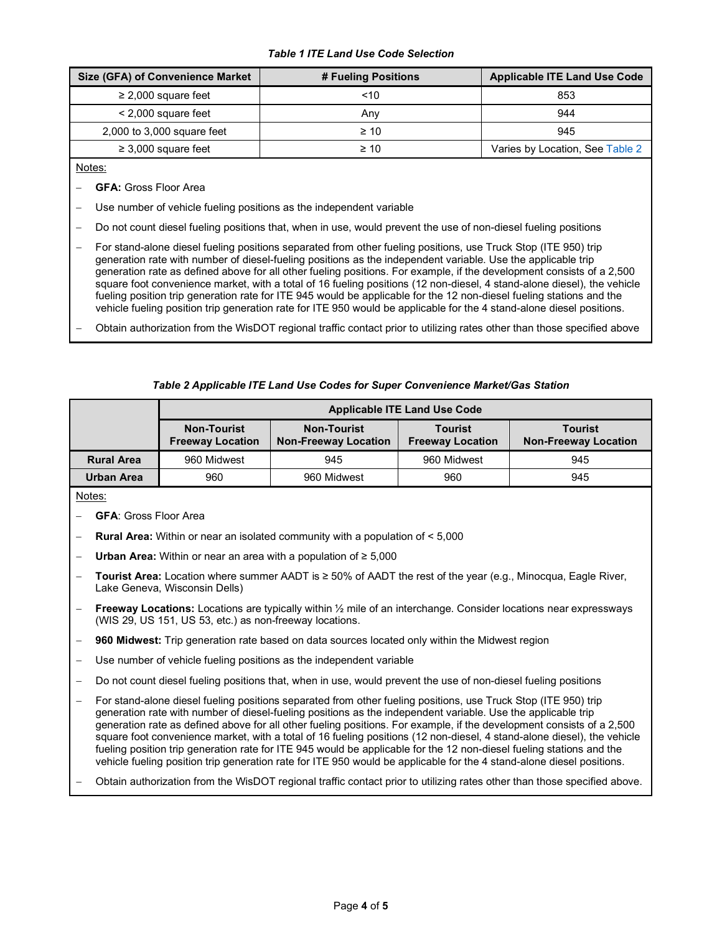#### *Table 1 ITE Land Use Code Selection*

<span id="page-3-0"></span>

| <b>Size (GFA) of Convenience Market</b> | # Fueling Positions | <b>Applicable ITE Land Use Code</b> |
|-----------------------------------------|---------------------|-------------------------------------|
| $\geq$ 2,000 square feet                | ~10                 | 853                                 |
| $<$ 2,000 square feet                   | Anv                 | 944                                 |
| 2,000 to 3,000 square feet              | $\geq 10$           | 945                                 |
| $\geq$ 3,000 square feet                | $\geq 10$           | Varies by Location, See Table 2     |

Notes:

- − **GFA:** Gross Floor Area
- Use number of vehicle fueling positions as the independent variable
- Do not count diesel fueling positions that, when in use, would prevent the use of non-diesel fueling positions
- − For stand-alone diesel fueling positions separated from other fueling positions, use Truck Stop (ITE 950) trip generation rate with number of diesel-fueling positions as the independent variable. Use the applicable trip generation rate as defined above for all other fueling positions. For example, if the development consists of a 2,500 square foot convenience market, with a total of 16 fueling positions (12 non-diesel, 4 stand-alone diesel), the vehicle fueling position trip generation rate for ITE 945 would be applicable for the 12 non-diesel fueling stations and the vehicle fueling position trip generation rate for ITE 950 would be applicable for the 4 stand-alone diesel positions.
- − Obtain authorization from the WisDOT regional traffic contact prior to utilizing rates other than those specified above

#### *Table 2 Applicable ITE Land Use Codes for Super Convenience Market/Gas Station*

<span id="page-3-1"></span>

|                   | <b>Applicable ITE Land Use Code</b>           |                                                   |                                           |                                               |  |
|-------------------|-----------------------------------------------|---------------------------------------------------|-------------------------------------------|-----------------------------------------------|--|
|                   | <b>Non-Tourist</b><br><b>Freeway Location</b> | <b>Non-Tourist</b><br><b>Non-Freeway Location</b> | <b>Tourist</b><br><b>Freeway Location</b> | <b>Tourist</b><br><b>Non-Freeway Location</b> |  |
| <b>Rural Area</b> | 960 Midwest                                   | 945                                               | 960 Midwest                               | 945                                           |  |
| <b>Urban Area</b> | 960                                           | 960 Midwest                                       | 960                                       | 945                                           |  |

Notes:

- − **GFA**: Gross Floor Area
- − **Rural Area:** Within or near an isolated community with a population of < 5,000
- Urban Area: Within or near an area with a population of ≥ 5,000
- − **Tourist Area:** Location where summer AADT is ≥ 50% of AADT the rest of the year (e.g., Minocqua, Eagle River, Lake Geneva, Wisconsin Dells)
- − **Freeway Locations:** Locations are typically within ½ mile of an interchange. Consider locations near expressways (WIS 29, US 151, US 53, etc.) as non-freeway locations.
- 960 Midwest: Trip generation rate based on data sources located only within the Midwest region
- Use number of vehicle fueling positions as the independent variable
- Do not count diesel fueling positions that, when in use, would prevent the use of non-diesel fueling positions
- For stand-alone diesel fueling positions separated from other fueling positions, use Truck Stop (ITE 950) trip generation rate with number of diesel-fueling positions as the independent variable. Use the applicable trip generation rate as defined above for all other fueling positions. For example, if the development consists of a 2,500 square foot convenience market, with a total of 16 fueling positions (12 non-diesel, 4 stand-alone diesel), the vehicle fueling position trip generation rate for ITE 945 would be applicable for the 12 non-diesel fueling stations and the vehicle fueling position trip generation rate for ITE 950 would be applicable for the 4 stand-alone diesel positions.
- − Obtain authorization from the WisDOT regional traffic contact prior to utilizing rates other than those specified above.